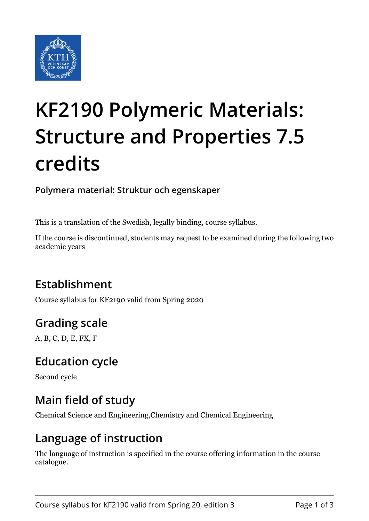

# **KF2190 Polymeric Materials: Structure and Properties 7.5 credits**

**Polymera material: Struktur och egenskaper**

This is a translation of the Swedish, legally binding, course syllabus.

If the course is discontinued, students may request to be examined during the following two academic years

# **Establishment**

Course syllabus for KF2190 valid from Spring 2020

# **Grading scale**

A, B, C, D, E, FX, F

## **Education cycle**

Second cycle

# **Main field of study**

Chemical Science and Engineering,Chemistry and Chemical Engineering

#### **Language of instruction**

The language of instruction is specified in the course offering information in the course catalogue.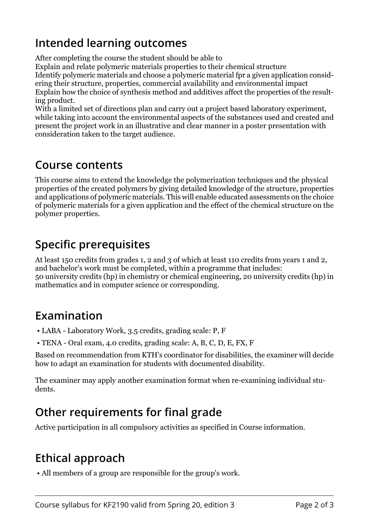## **Intended learning outcomes**

After completing the course the student should be able to

Explain and relate polymeric materials properties to their chemical structure Identify polymeric materials and choose a polymeric material fpr a given application considering their structure, properties, commercial availability and environmental impact Explain how the choice of synthesis method and additives affect the properties of the resulting product.

With a limited set of directions plan and carry out a project based laboratory experiment, while taking into account the environmental aspects of the substances used and created and present the project work in an illustrative and clear manner in a poster presentation with consideration taken to the target audience.

#### **Course contents**

This course aims to extend the knowledge the polymerization techniques and the physical properties of the created polymers by giving detailed knowledge of the structure, properties and applications of polymeric materials. This will enable educated assessments on the choice of polymeric materials for a given application and the effect of the chemical structure on the polymer properties.

## **Specific prerequisites**

At least 150 credits from grades 1, 2 and 3 of which at least 110 credits from years 1 and 2, and bachelor's work must be completed, within a programme that includes: 50 university credits (hp) in chemistry or chemical engineering, 20 university credits (hp) in mathematics and in computer science or corresponding.

## **Examination**

- LABA Laboratory Work, 3.5 credits, grading scale: P, F
- TENA Oral exam, 4.0 credits, grading scale: A, B, C, D, E, FX, F

Based on recommendation from KTH's coordinator for disabilities, the examiner will decide how to adapt an examination for students with documented disability.

The examiner may apply another examination format when re-examining individual students.

# **Other requirements for final grade**

Active participation in all compulsory activities as specified in Course information.

# **Ethical approach**

• All members of a group are responsible for the group's work.